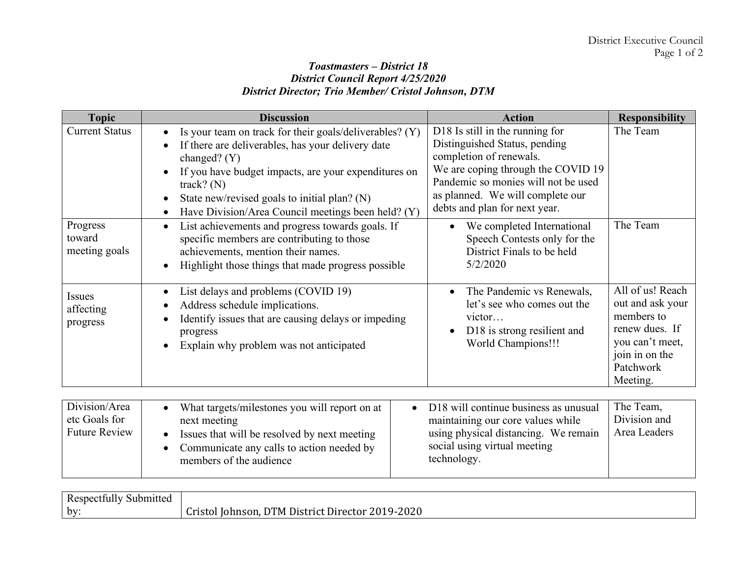## *Toastmasters – District 18 District Council Report 4/25/2020 District Director; Trio Member/ Cristol Johnson, DTM*

| <b>Topic</b>                        | <b>Discussion</b>                                                                                                                                                                                                                                                                                            | <b>Action</b>                                                                                                                                                                                                                                 | <b>Responsibility</b>                                                                                                              |
|-------------------------------------|--------------------------------------------------------------------------------------------------------------------------------------------------------------------------------------------------------------------------------------------------------------------------------------------------------------|-----------------------------------------------------------------------------------------------------------------------------------------------------------------------------------------------------------------------------------------------|------------------------------------------------------------------------------------------------------------------------------------|
| <b>Current Status</b>               | Is your team on track for their goals/deliverables? (Y)<br>If there are deliverables, has your delivery date<br>changed? $(Y)$<br>If you have budget impacts, are your expenditures on<br>track? $(N)$<br>State new/revised goals to initial plan? (N)<br>Have Division/Area Council meetings been held? (Y) | D18 Is still in the running for<br>Distinguished Status, pending<br>completion of renewals.<br>We are coping through the COVID 19<br>Pandemic so monies will not be used<br>as planned. We will complete our<br>debts and plan for next year. | The Team                                                                                                                           |
| Progress<br>toward<br>meeting goals | List achievements and progress towards goals. If<br>specific members are contributing to those<br>achievements, mention their names.<br>Highlight those things that made progress possible                                                                                                                   | We completed International<br>Speech Contests only for the<br>District Finals to be held<br>5/2/2020                                                                                                                                          | The Team                                                                                                                           |
| Issues<br>affecting<br>progress     | List delays and problems (COVID 19)<br>Address schedule implications.<br>Identify issues that are causing delays or impeding<br>progress<br>Explain why problem was not anticipated                                                                                                                          | The Pandemic vs Renewals,<br>let's see who comes out the<br>victor<br>D18 is strong resilient and<br>World Champions!!!                                                                                                                       | All of us! Reach<br>out and ask your<br>members to<br>renew dues. If<br>you can't meet,<br>join in on the<br>Patchwork<br>Meeting. |
| Division/Area<br>etc Goals for      | What targets/milestones you will report on at<br>next meeting                                                                                                                                                                                                                                                | D18 will continue business as unusual<br>$\bullet$<br>maintaining our core values while                                                                                                                                                       | The Team,<br>Division and                                                                                                          |

| etc Goals for        | next meeting                                                         | maintaining our core values while           | Division and |
|----------------------|----------------------------------------------------------------------|---------------------------------------------|--------------|
| <b>Future Review</b> | Issues that will be resolved by next meeting                         | using physical distancing. We remain        | Area Leaders |
|                      | Communicate any calls to action needed by<br>members of the audience | social using virtual meeting<br>technology. |              |

| Respectfully<br>Submitted |                                                                                                               |
|---------------------------|---------------------------------------------------------------------------------------------------------------|
| by:                       | $\Omega$<br>$\sim$ $\sim$<br>דר<br>2019-2020<br>. District.<br>: Director i<br>Hohnson.<br>intot<br>∸IVI<br>ີ |